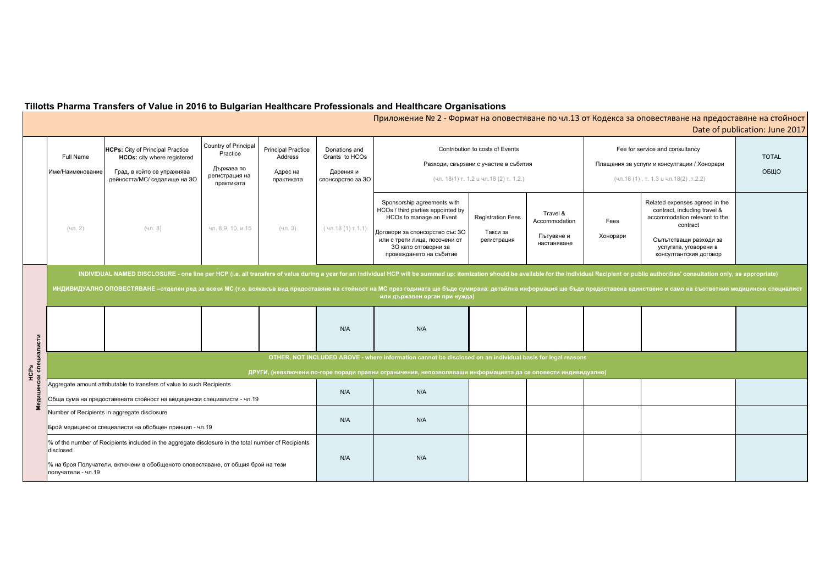| Tillotts Pharma Transfers of Value in 2016 to Bulgarian Healthcare Professionals and Healthcare Organisations |  |  |  |  |  |
|---------------------------------------------------------------------------------------------------------------|--|--|--|--|--|
| √Приложение № 2 - Формат на оповестяване по чл.13 от                                                          |  |  |  |  |  |

# т Кодекса за оповестяване на предоставяне на стойност $^\dagger$ Date of publication: June 2017

| Fees<br>Хонорари | Fee for service and consultancy<br>Плащания за услуги и консултации / Хонорари<br>(чл.18 (1), т. 1.3 и чл.18(2), т.2.2)<br>Related expenses agreed in the<br>contract, including travel &<br>accommodation relevant to the<br>contract<br>Съпътстващи разходи за | <b>TOTAL</b><br>ОБЩО |  |  |  |  |  |  |
|------------------|------------------------------------------------------------------------------------------------------------------------------------------------------------------------------------------------------------------------------------------------------------------|----------------------|--|--|--|--|--|--|
|                  | услугата, уговорени в<br>консултантския договор                                                                                                                                                                                                                  |                      |  |  |  |  |  |  |
|                  | Recipient or public authorities' consultation only, as appropriate)<br>доставена единствено и само на съответния медицински специалист                                                                                                                           |                      |  |  |  |  |  |  |
|                  |                                                                                                                                                                                                                                                                  |                      |  |  |  |  |  |  |
| IHO)             |                                                                                                                                                                                                                                                                  |                      |  |  |  |  |  |  |
|                  |                                                                                                                                                                                                                                                                  |                      |  |  |  |  |  |  |
|                  |                                                                                                                                                                                                                                                                  |                      |  |  |  |  |  |  |
|                  |                                                                                                                                                                                                                                                                  |                      |  |  |  |  |  |  |

|                                 | <b>Full Name</b><br>Име/Наименование                                                                                                                                                                                                                                                                                                                                                                                                                                                              | <b>HCPs:</b> City of Principal Practice<br>HCOs: city where registered<br>Град, в който се упражнява<br>дейността/МС/ седалище на ЗО | Country of Principal<br>Practice<br>Държава по<br>регистрация на<br>практиката | <b>Principal Practice</b><br>Address<br>Адрес на<br>практиката | Donations and<br>Grants to HCOs<br>Дарения и<br>спонсорство за 30 |                                                                                                                                                                                                                   | Contribution to costs of Events<br>Разходи, свързани с участие в събития<br>(чл. 18(1) т. 1.2 и чл.18 (2) т. 1.2.) |                                                        |                  | Fee for service and consultancy<br>Плащания за услуги и консултации / Хонорари<br>(чл.18 (1), т. 1.3 и чл.18(2), т.2.2)                                                                  | <b>TOTAL</b><br>ОБЩО |
|---------------------------------|---------------------------------------------------------------------------------------------------------------------------------------------------------------------------------------------------------------------------------------------------------------------------------------------------------------------------------------------------------------------------------------------------------------------------------------------------------------------------------------------------|--------------------------------------------------------------------------------------------------------------------------------------|--------------------------------------------------------------------------------|----------------------------------------------------------------|-------------------------------------------------------------------|-------------------------------------------------------------------------------------------------------------------------------------------------------------------------------------------------------------------|--------------------------------------------------------------------------------------------------------------------|--------------------------------------------------------|------------------|------------------------------------------------------------------------------------------------------------------------------------------------------------------------------------------|----------------------|
|                                 | $(4\pi. 2)$                                                                                                                                                                                                                                                                                                                                                                                                                                                                                       | (чл. 8)                                                                                                                              | чл. 8,9, 10, и 15                                                              | $(4\pi. 3)$                                                    | $(4\pi.18(1)\tau.1.1)$                                            | Sponsorship agreements with<br>HCOs / third parties appointed by<br>HCOs to manage an Event<br>Договори за спонсорство със 30<br>или с трети лица, посочени от<br>30 като отговорни за<br>провеждането на събитие | <b>Registration Fees</b><br>Такси за<br>регистрация                                                                | Travel &<br>Accommodation<br>Пътуване и<br>настаняване | Fees<br>Хонорари | Related expenses agreed in the<br>contract, including travel &<br>accommodation relevant to the<br>contract<br>Съпътстващи разходи за<br>услугата, уговорени в<br>консултантския договор |                      |
|                                 | INDIVIDUAL NAMED DISCLOSURE - one line per HCP (i.e. all transfers of value during a year for an individual HCP will be summed up: itemization should be available for the individual Recipient or public authorities' consult<br>ИНДИВИДУАЛНО ОПОВЕСТЯВАНЕ -отделен ред за всеки МС (т.е. всякакъв вид предоставяне на стойност на МС през годината ще бъде сумирана: детайлна информация ще бъде предоставена единствено и само на съответния медицински специ<br>или държавен орган при нужда) |                                                                                                                                      |                                                                                |                                                                |                                                                   |                                                                                                                                                                                                                   |                                                                                                                    |                                                        |                  |                                                                                                                                                                                          |                      |
|                                 |                                                                                                                                                                                                                                                                                                                                                                                                                                                                                                   |                                                                                                                                      |                                                                                |                                                                | N/A                                                               | N/A                                                                                                                                                                                                               |                                                                                                                    |                                                        |                  |                                                                                                                                                                                          |                      |
| нски специалисти<br><b>HCPS</b> | OTHER, NOT INCLUDED ABOVE - where information cannot be disclosed on an individual basis for legal reasons<br>ДРУГИ, (невключени по-горе поради правни ограничения, непозволяващи информацията да се оповести индивидуално)                                                                                                                                                                                                                                                                       |                                                                                                                                      |                                                                                |                                                                |                                                                   |                                                                                                                                                                                                                   |                                                                                                                    |                                                        |                  |                                                                                                                                                                                          |                      |
| Медици                          | Aggregate amount attributable to transfers of value to such Recipients<br>Обща сума на предоставената стойност на медицински специалисти - чл.19                                                                                                                                                                                                                                                                                                                                                  |                                                                                                                                      |                                                                                | N/A                                                            | N/A                                                               |                                                                                                                                                                                                                   |                                                                                                                    |                                                        |                  |                                                                                                                                                                                          |                      |
|                                 | Number of Recipients in aggregate disclosure<br>Брой медицински специалисти на обобщен принцип - чл.19                                                                                                                                                                                                                                                                                                                                                                                            |                                                                                                                                      |                                                                                | N/A                                                            | N/A                                                               |                                                                                                                                                                                                                   |                                                                                                                    |                                                        |                  |                                                                                                                                                                                          |                      |
|                                 | % of the number of Recipients included in the aggregate disclosure in the total number of Recipients<br>disclosed<br>% на броя Получатели, включени в обобщеното оповестяване, от общия брой на тези<br>получатели - чл.19                                                                                                                                                                                                                                                                        |                                                                                                                                      |                                                                                | N/A                                                            | N/A                                                               |                                                                                                                                                                                                                   |                                                                                                                    |                                                        |                  |                                                                                                                                                                                          |                      |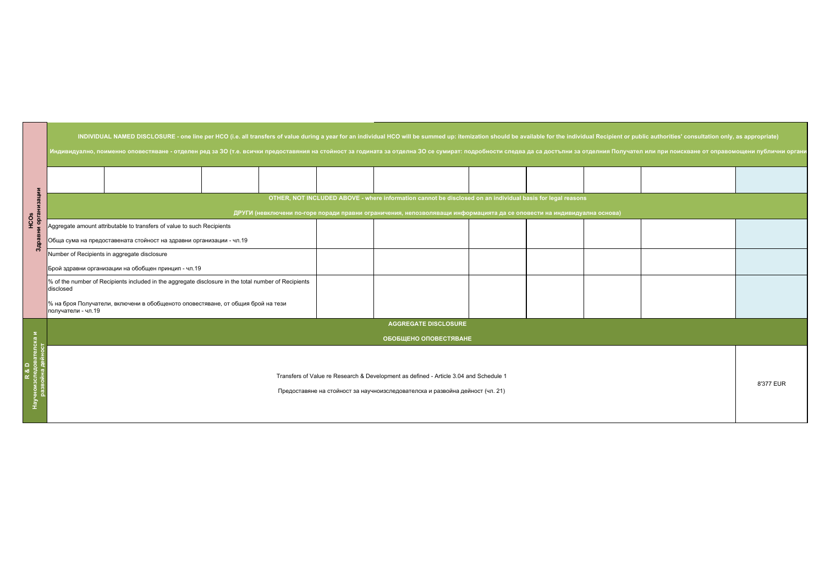| or public authorities' consultation only, as appropriate)<br>учател или при поискване от оправомощени публични орган <mark>и</mark> |  |           |  |  |  |
|-------------------------------------------------------------------------------------------------------------------------------------|--|-----------|--|--|--|
|                                                                                                                                     |  |           |  |  |  |
|                                                                                                                                     |  |           |  |  |  |
|                                                                                                                                     |  |           |  |  |  |
|                                                                                                                                     |  |           |  |  |  |
|                                                                                                                                     |  |           |  |  |  |
|                                                                                                                                     |  |           |  |  |  |
|                                                                                                                                     |  | 8'377 EUR |  |  |  |

|                         | INDIVIDUAL NAMED DISCLOSURE - one line per HCO (i.e. all transfers of value during a year for an individual HCO will be summed up: itemization should be available for the individual Recipient or public authorities' consult       |  |  |  |  |  |  |  |  |  |  |
|-------------------------|--------------------------------------------------------------------------------------------------------------------------------------------------------------------------------------------------------------------------------------|--|--|--|--|--|--|--|--|--|--|
|                         | Индивидуално, поименно оповестяване - отделен ред за 30 (т.е. всички предоставяния на стойност за годината за отделна 30 се сумират: подробности следва да са достъпни за отделния Получател или при поискване от оправомощени       |  |  |  |  |  |  |  |  |  |  |
|                         |                                                                                                                                                                                                                                      |  |  |  |  |  |  |  |  |  |  |
| HCOs<br>и организации   | OTHER, NOT INCLUDED ABOVE - where information cannot be disclosed on an individual basis for legal reasons<br>ДРУГИ (невключени по-горе поради правни ограничения, непозволяващи информацията да се оповести на индивидуална основа) |  |  |  |  |  |  |  |  |  |  |
| $3\underline{\text{m}}$ | Aggregate amount attributable to transfers of value to such Recipients<br>Обща сума на предоставената стойност на здравни организации - чл.19                                                                                        |  |  |  |  |  |  |  |  |  |  |
|                         | Number of Recipients in aggregate disclosure<br>Брой здравни организации на обобщен принцип - чл.19                                                                                                                                  |  |  |  |  |  |  |  |  |  |  |
|                         | % of the number of Recipients included in the aggregate disclosure in the total number of Recipients<br>disclosed                                                                                                                    |  |  |  |  |  |  |  |  |  |  |
|                         | % на броя Получатели, включени в обобщеното оповестяване, от общия брой на тези<br>получатели - чл.19                                                                                                                                |  |  |  |  |  |  |  |  |  |  |
|                         | <b>AGGREGATE DISCLOSURE</b>                                                                                                                                                                                                          |  |  |  |  |  |  |  |  |  |  |
|                         | Σ.<br>ОБОБЩЕНО ОПОВЕСТЯВАНЕ                                                                                                                                                                                                          |  |  |  |  |  |  |  |  |  |  |
|                         | Transfers of Value re Research & Development as defined - Article 3.04 and Schedule 1<br>Предоставяне на стойност за научноизследователска и развойна дейност (чл. 21)                                                               |  |  |  |  |  |  |  |  |  |  |